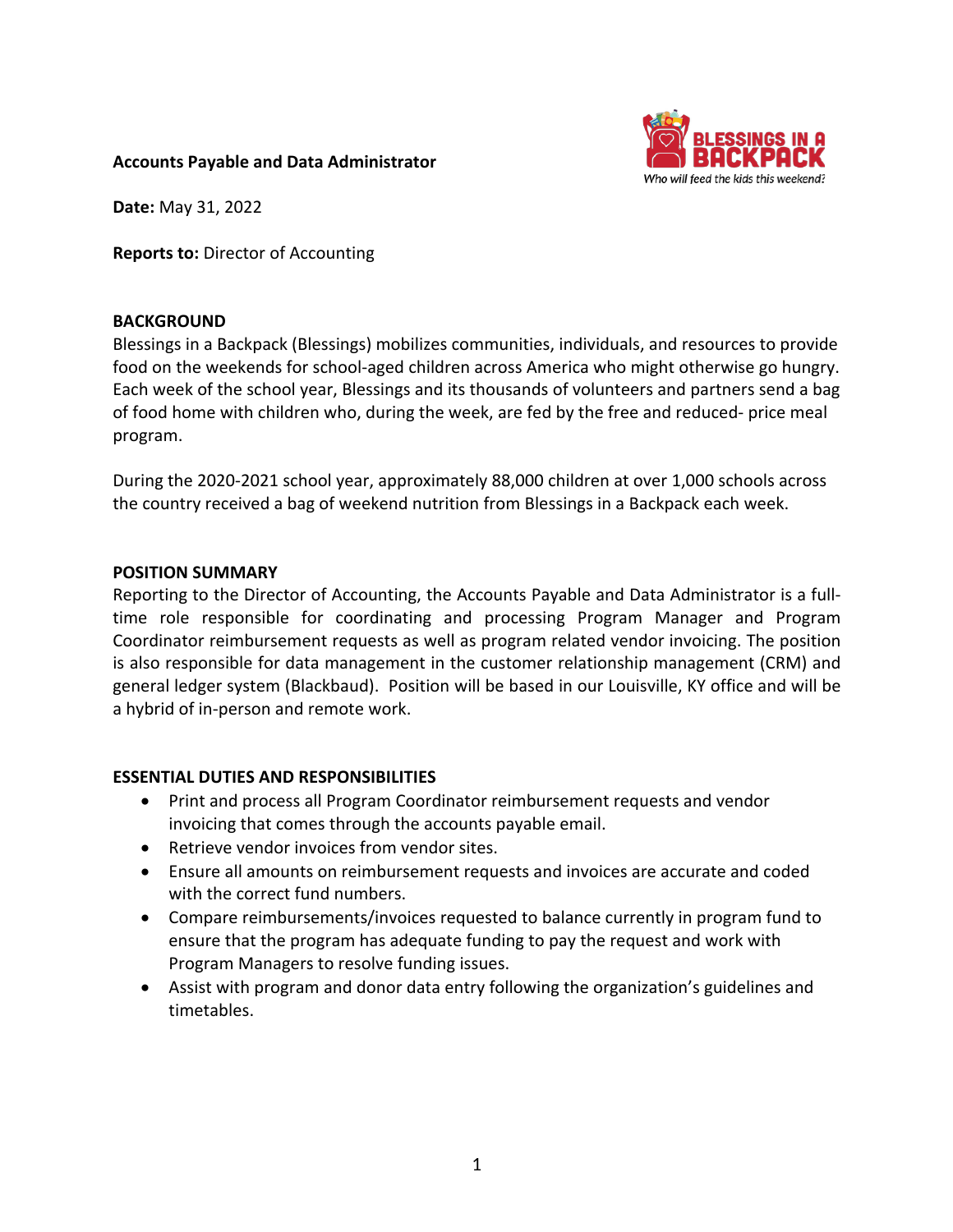

#### **Accounts Payable and Data Administrator**

**Date:** May 31, 2022

**Reports to:** Director of Accounting

#### **BACKGROUND**

Blessings in a Backpack (Blessings) mobilizes communities, individuals, and resources to provide food on the weekends for school-aged children across America who might otherwise go hungry. Each week of the school year, Blessings and its thousands of volunteers and partners send a bag of food home with children who, during the week, are fed by the free and reduced- price meal program.

During the 2020-2021 school year, approximately 88,000 children at over 1,000 schools across the country received a bag of weekend nutrition from Blessings in a Backpack each week.

#### **POSITION SUMMARY**

Reporting to the Director of Accounting, the Accounts Payable and Data Administrator is a fulltime role responsible for coordinating and processing Program Manager and Program Coordinator reimbursement requests as well as program related vendor invoicing. The position is also responsible for data management in the customer relationship management (CRM) and general ledger system (Blackbaud). Position will be based in our Louisville, KY office and will be a hybrid of in-person and remote work.

### **ESSENTIAL DUTIES AND RESPONSIBILITIES**

- Print and process all Program Coordinator reimbursement requests and vendor invoicing that comes through the accounts payable email.
- Retrieve vendor invoices from vendor sites.
- Ensure all amounts on reimbursement requests and invoices are accurate and coded with the correct fund numbers.
- Compare reimbursements/invoices requested to balance currently in program fund to ensure that the program has adequate funding to pay the request and work with Program Managers to resolve funding issues.
- Assist with program and donor data entry following the organization's guidelines and timetables.